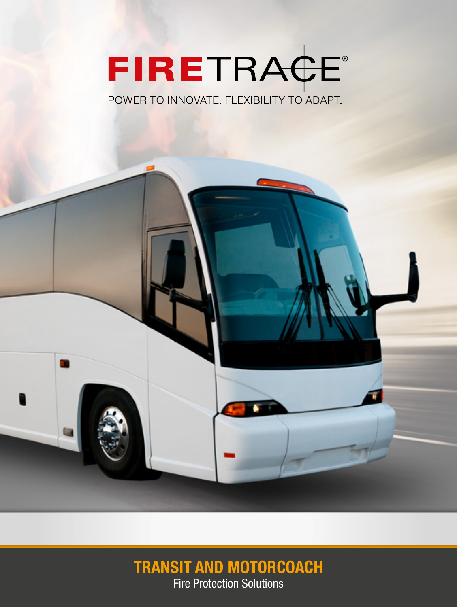# FIRETRACE®

POWER TO INNOVATE. FLEXIBILITY TO ADAPT.



# **TRANSIT AND MOTORCOACH**

Fire Protection Solutions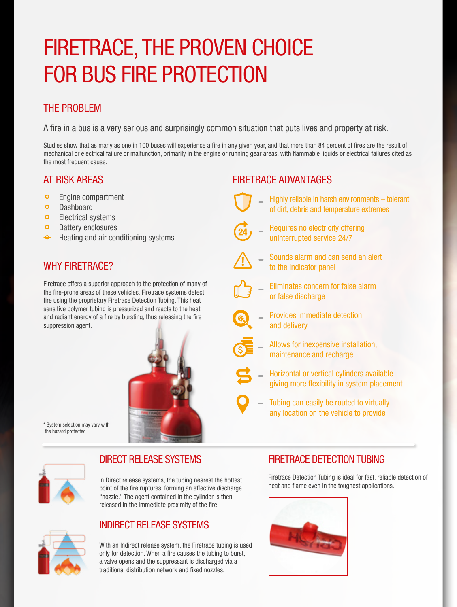# FIRETRACE, THE PROVEN CHOICE FOR BUS FIRE PROTECTION

#### THE PROBLEM

A fire in a bus is a very serious and surprisingly common situation that puts lives and property at risk.

Studies show that as many as one in 100 buses will experience a fire in any given year, and that more than 84 percent of fires are the result of mechanical or electrical failure or malfunction, primarily in the engine or running gear areas, with flammable liquids or electrical failures cited as the most frequent cause.

#### AT RISK AREAS

- $\blacklozenge$ Engine compartment
- $\bullet$ Dashboard
- $\bigoplus$  Electrical systems
- $\bigoplus$ Battery enclosures
- $\bigoplus$  Heating and air conditioning systems

#### WHY FIRETRACE?

Firetrace offers a superior approach to the protection of many of the fire-prone areas of these vehicles. Firetrace systems detect fire using the proprietary Firetrace Detection Tubing. This heat sensitive polymer tubing is pressurized and reacts to the heat and radiant energy of a fire by bursting, thus releasing the fire suppression agent.



\* System selection may vary with the hazard protected



#### DIRECT RELEASE SYSTEMS

In Direct release systems, the tubing nearest the hottest point of the fire ruptures, forming an effective discharge "nozzle." The agent contained in the cylinder is then released in the immediate proximity of the fire.

#### INDIRECT RELEASE SYSTEMS

With an Indirect release system, the Firetrace tubing is used only for detection. When a fire causes the tubing to burst, a valve opens and the suppressant is discharged via a traditional distribution network and fixed nozzles.

#### FIRETRACE ADVANTAGES



- Highly reliable in harsh environments tolerant of dirt, debris and temperature extremes
- 
- Requires no electricity offering uninterrupted service 24/7



- Sounds alarm and can send an alert to the indicator panel
- Eliminates concern for false alarm or false discharge
	- Provides immediate detection and delivery



- Allows for inexpensive installation, maintenance and recharge
- Horizontal or vertical cylinders available giving more flexibility in system placement
- Tubing can easily be routed to virtually any location on the vehicle to provide

#### FIRETRACE DETECTION TUBING

Firetrace Detection Tubing is ideal for fast, reliable detection of heat and flame even in the toughest applications.

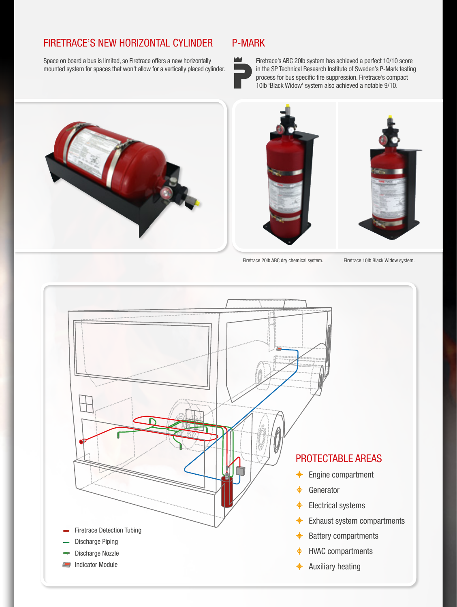#### FIRETRACE'S NEW HORIZONTAL CYLINDER

Space on board a bus is limited, so Firetrace offers a new horizontally mounted system for spaces that won't allow for a vertically placed cylinder.

#### P-MARK



Firetrace's ABC 20lb system has achieved a perfect 10/10 score in the SP Technical Research Institute of Sweden's P-Mark testing process for bus specific fire suppression. Firetrace's compact 10lb 'Black Widow' system also achieved a notable 9/10.





Firetrace 20lb ABC dry chemical system. Firetrace 10lb Black Widow system.